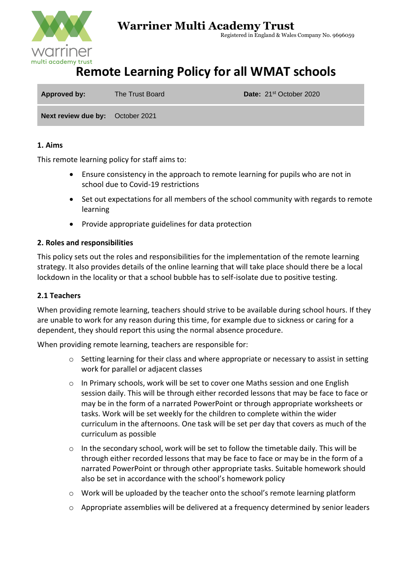

## **Warriner Multi Academy Trust**

Registered in England & Wales Company No. 9696059

# **Remote Learning Policy for all WMAT schools**

| Approved by:                            | The Trust Board | <b>Date:</b> 21 <sup>st</sup> October 2020 |
|-----------------------------------------|-----------------|--------------------------------------------|
| <b>Next review due by:</b> October 2021 |                 |                                            |

## **1. Aims**

This remote learning policy for staff aims to:

- Ensure consistency in the approach to remote learning for pupils who are not in school due to Covid-19 restrictions
- Set out expectations for all members of the school community with regards to remote learning
- Provide appropriate guidelines for data protection

## **2. Roles and responsibilities**

This policy sets out the roles and responsibilities for the implementation of the remote learning strategy. It also provides details of the online learning that will take place should there be a local lockdown in the locality or that a school bubble has to self-isolate due to positive testing.

## **2.1 Teachers**

When providing remote learning, teachers should strive to be available during school hours. If they are unable to work for any reason during this time, for example due to sickness or caring for a dependent, they should report this using the normal absence procedure.

When providing remote learning, teachers are responsible for:

- $\circ$  Setting learning for their class and where appropriate or necessary to assist in setting work for parallel or adjacent classes
- o In Primary schools, work will be set to cover one Maths session and one English session daily. This will be through either recorded lessons that may be face to face or may be in the form of a narrated PowerPoint or through appropriate worksheets or tasks. Work will be set weekly for the children to complete within the wider curriculum in the afternoons. One task will be set per day that covers as much of the curriculum as possible
- $\circ$  In the secondary school, work will be set to follow the timetable daily. This will be through either recorded lessons that may be face to face or may be in the form of a narrated PowerPoint or through other appropriate tasks. Suitable homework should also be set in accordance with the school's homework policy
- o Work will be uploaded by the teacher onto the school's remote learning platform
- o Appropriate assemblies will be delivered at a frequency determined by senior leaders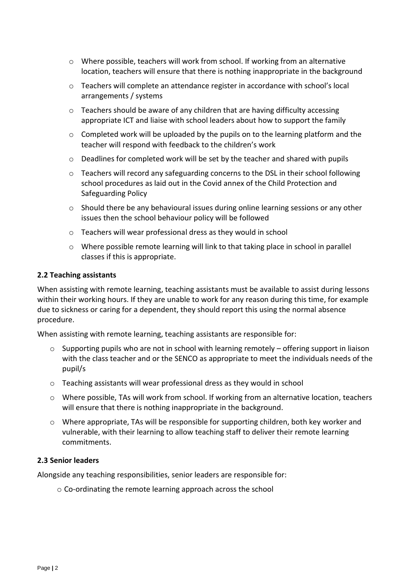- o Where possible, teachers will work from school. If working from an alternative location, teachers will ensure that there is nothing inappropriate in the background
- o Teachers will complete an attendance register in accordance with school's local arrangements / systems
- $\circ$  Teachers should be aware of any children that are having difficulty accessing appropriate ICT and liaise with school leaders about how to support the family
- $\circ$  Completed work will be uploaded by the pupils on to the learning platform and the teacher will respond with feedback to the children's work
- $\circ$  Deadlines for completed work will be set by the teacher and shared with pupils
- o Teachers will record any safeguarding concerns to the DSL in their school following school procedures as laid out in the Covid annex of the Child Protection and Safeguarding Policy
- o Should there be any behavioural issues during online learning sessions or any other issues then the school behaviour policy will be followed
- o Teachers will wear professional dress as they would in school
- $\circ$  Where possible remote learning will link to that taking place in school in parallel classes if this is appropriate.

### **2.2 Teaching assistants**

When assisting with remote learning, teaching assistants must be available to assist during lessons within their working hours. If they are unable to work for any reason during this time, for example due to sickness or caring for a dependent, they should report this using the normal absence procedure.

When assisting with remote learning, teaching assistants are responsible for:

- o Supporting pupils who are not in school with learning remotely offering support in liaison with the class teacher and or the SENCO as appropriate to meet the individuals needs of the pupil/s
- o Teaching assistants will wear professional dress as they would in school
- o Where possible, TAs will work from school. If working from an alternative location, teachers will ensure that there is nothing inappropriate in the background.
- o Where appropriate, TAs will be responsible for supporting children, both key worker and vulnerable, with their learning to allow teaching staff to deliver their remote learning commitments.

#### **2.3 Senior leaders**

Alongside any teaching responsibilities, senior leaders are responsible for:

o Co-ordinating the remote learning approach across the school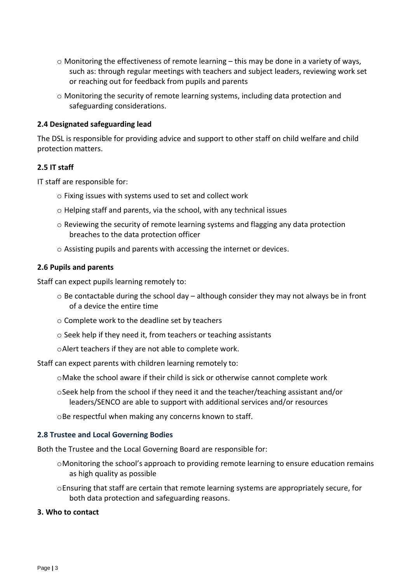- $\circ$  Monitoring the effectiveness of remote learning this may be done in a variety of ways, such as: through regular meetings with teachers and subject leaders, reviewing work set or reaching out for feedback from pupils and parents
- o Monitoring the security of remote learning systems, including data protection and safeguarding considerations.

#### **2.4 Designated safeguarding lead**

The DSL is responsible for providing advice and support to other staff on child welfare and child protection matters.

#### **2.5 IT staff**

IT staff are responsible for:

- o Fixing issues with systems used to set and collect work
- o Helping staff and parents, via the school, with any technical issues
- o Reviewing the security of remote learning systems and flagging any data protection breaches to the data protection officer
- o Assisting pupils and parents with accessing the internet or devices.

#### **2.6 Pupils and parents**

Staff can expect pupils learning remotely to:

- o Be contactable during the school day although consider they may not always be in front of a device the entire time
- o Complete work to the deadline set by teachers
- o Seek help if they need it, from teachers or teaching assistants
- oAlert teachers if they are not able to complete work.

Staff can expect parents with children learning remotely to:

- oMake the school aware if their child is sick or otherwise cannot complete work
- oSeek help from the school if they need it and the teacher/teaching assistant and/or leaders/SENCO are able to support with additional services and/or resources

oBe respectful when making any concerns known to staff.

#### **2.8 Trustee and Local Governing Bodies**

Both the Trustee and the Local Governing Board are responsible for:

- oMonitoring the school's approach to providing remote learning to ensure education remains as high quality as possible
- oEnsuring that staff are certain that remote learning systems are appropriately secure, for both data protection and safeguarding reasons.

#### **3. Who to contact**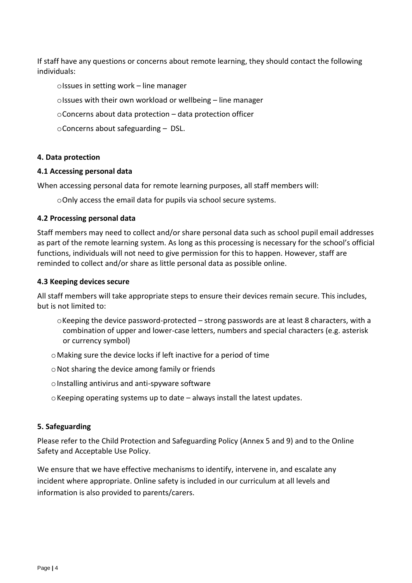If staff have any questions or concerns about remote learning, they should contact the following individuals:

oIssues in setting work – line manager

oIssues with their own workload or wellbeing – line manager

- oConcerns about data protection data protection officer
- oConcerns about safeguarding DSL.

#### **4. Data protection**

#### **4.1 Accessing personal data**

When accessing personal data for remote learning purposes, all staff members will:

oOnly access the email data for pupils via school secure systems.

#### **4.2 Processing personal data**

Staff members may need to collect and/or share personal data such as school pupil email addresses as part of the remote learning system. As long as this processing is necessary for the school's official functions, individuals will not need to give permission for this to happen. However, staff are reminded to collect and/or share as little personal data as possible online.

#### **4.3 Keeping devices secure**

All staff members will take appropriate steps to ensure their devices remain secure. This includes, but is not limited to:

- $\circ$ Keeping the device password-protected strong passwords are at least 8 characters, with a combination of upper and lower-case letters, numbers and special characters (e.g. asterisk or currency symbol)
- oMaking sure the device locks if left inactive for a period of time
- $\circ$  Not sharing the device among family or friends
- $\circ$  Installing antivirus and anti-spyware software
- $\circ$  Keeping operating systems up to date always install the latest updates.

## **5. Safeguarding**

Please refer to the Child Protection and Safeguarding Policy (Annex 5 and 9) and to the Online Safety and Acceptable Use Policy.

We ensure that we have effective mechanisms to identify, intervene in, and escalate any incident where appropriate. Online safety is included in our curriculum at all levels and information is also provided to parents/carers.